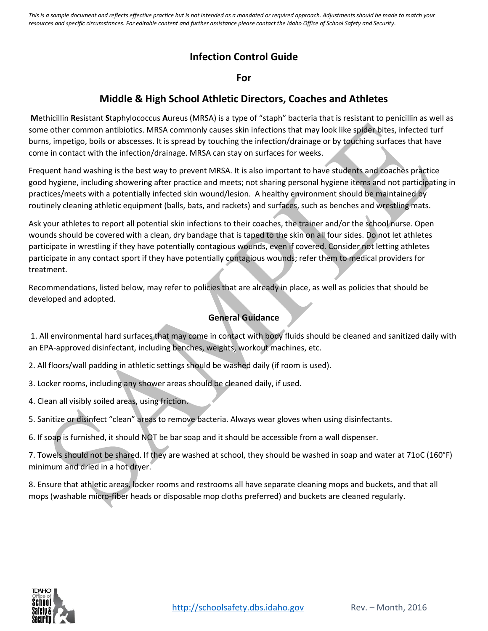# **Infection Control Guide**

### **For**

## **Middle & High School Athletic Directors, Coaches and Athletes**

**M**ethicillin **R**esistant **S**taphylococcus **A**ureus (MRSA) is a type of "staph" bacteria that is resistant to penicillin as well as some other common antibiotics. MRSA commonly causes skin infections that may look like spider bites, infected turf burns, impetigo, boils or abscesses. It is spread by touching the infection/drainage or by touching surfaces that have come in contact with the infection/drainage. MRSA can stay on surfaces for weeks.

Frequent hand washing is the best way to prevent MRSA. It is also important to have students and coaches practice good hygiene, including showering after practice and meets; not sharing personal hygiene items and not participating in practices/meets with a potentially infected skin wound/lesion. A healthy environment should be maintained by routinely cleaning athletic equipment (balls, bats, and rackets) and surfaces, such as benches and wrestling mats.

Ask your athletes to report all potential skin infections to their coaches, the trainer and/or the school nurse. Open wounds should be covered with a clean, dry bandage that is taped to the skin on all four sides. Do not let athletes participate in wrestling if they have potentially contagious wounds, even if covered. Consider not letting athletes participate in any contact sport if they have potentially contagious wounds; refer them to medical providers for treatment.

Recommendations, listed below, may refer to policies that are already in place, as well as policies that should be developed and adopted.

## **General Guidance**

1. All environmental hard surfaces that may come in contact with body fluids should be cleaned and sanitized daily with an EPA-approved disinfectant, including benches, weights, workout machines, etc.

2. All floors/wall padding in athletic settings should be washed daily (if room is used).

3. Locker rooms, including any shower areas should be cleaned daily, if used.

4. Clean all visibly soiled areas, using friction.

5. Sanitize or disinfect "clean" areas to remove bacteria. Always wear gloves when using disinfectants.

6. If soap is furnished, it should NOT be bar soap and it should be accessible from a wall dispenser.

7. Towels should not be shared. If they are washed at school, they should be washed in soap and water at 71oC (160°F) minimum and dried in a hot dryer.

8. Ensure that athletic areas, locker rooms and restrooms all have separate cleaning mops and buckets, and that all mops (washable micro-fiber heads or disposable mop cloths preferred) and buckets are cleaned regularly.

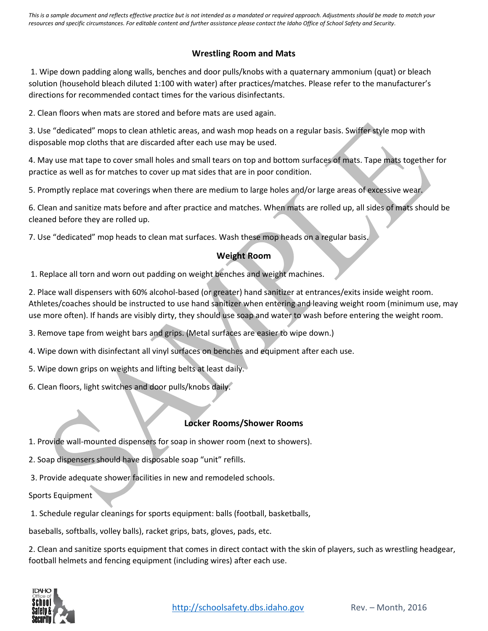### **Wrestling Room and Mats**

1. Wipe down padding along walls, benches and door pulls/knobs with a quaternary ammonium (quat) or bleach solution (household bleach diluted 1:100 with water) after practices/matches. Please refer to the manufacturer's directions for recommended contact times for the various disinfectants.

2. Clean floors when mats are stored and before mats are used again.

3. Use "dedicated" mops to clean athletic areas, and wash mop heads on a regular basis. Swiffer style mop with disposable mop cloths that are discarded after each use may be used.

4. May use mat tape to cover small holes and small tears on top and bottom surfaces of mats. Tape mats together for practice as well as for matches to cover up mat sides that are in poor condition.

5. Promptly replace mat coverings when there are medium to large holes and/or large areas of excessive wear.

6. Clean and sanitize mats before and after practice and matches. When mats are rolled up, all sides of mats should be cleaned before they are rolled up.

7. Use "dedicated" mop heads to clean mat surfaces. Wash these mop heads on a regular basis.

#### **Weight Room**

1. Replace all torn and worn out padding on weight benches and weight machines.

2. Place wall dispensers with 60% alcohol-based (or greater) hand sanitizer at entrances/exits inside weight room. Athletes/coaches should be instructed to use hand sanitizer when entering and leaving weight room (minimum use, may use more often). If hands are visibly dirty, they should use soap and water to wash before entering the weight room.

3. Remove tape from weight bars and grips. (Metal surfaces are easier to wipe down.)

4. Wipe down with disinfectant all vinyl surfaces on benches and equipment after each use.

5. Wipe down grips on weights and lifting belts at least daily.

6. Clean floors, light switches and door pulls/knobs daily.

#### **Locker Rooms/Shower Rooms**

1. Provide wall-mounted dispensers for soap in shower room (next to showers).

2. Soap dispensers should have disposable soap "unit" refills.

3. Provide adequate shower facilities in new and remodeled schools.

Sports Equipment

1. Schedule regular cleanings for sports equipment: balls (football, basketballs,

baseballs, softballs, volley balls), racket grips, bats, gloves, pads, etc.

2. Clean and sanitize sports equipment that comes in direct contact with the skin of players, such as wrestling headgear, football helmets and fencing equipment (including wires) after each use.